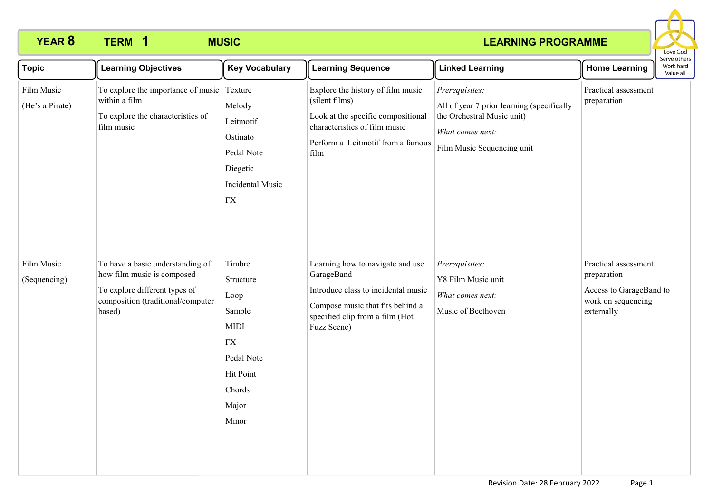# **YEAR 8 TERM MUSIC 1**

### **LEARNING PROGRAMME**



| <b>Topic</b>                  | <b>Learning Objectives</b>                                                                                                                     | <b>Key Vocabulary</b>                                                                                                            | <b>Learning Sequence</b>                                                                                                                                                    | <b>Linked Learning</b>                                                                                                                       | <b>Home Learning</b>                                                                               | <b>JEI NE OUIEI</b><br>Work hard<br>Value all |
|-------------------------------|------------------------------------------------------------------------------------------------------------------------------------------------|----------------------------------------------------------------------------------------------------------------------------------|-----------------------------------------------------------------------------------------------------------------------------------------------------------------------------|----------------------------------------------------------------------------------------------------------------------------------------------|----------------------------------------------------------------------------------------------------|-----------------------------------------------|
| Film Music<br>(He's a Pirate) | To explore the importance of music Texture<br>within a film<br>To explore the characteristics of<br>film music                                 | Melody<br>Leitmotif<br>Ostinato<br>Pedal Note<br>Diegetic<br>Incidental Music<br>${\rm FX}$                                      | Explore the history of film music<br>(silent films)<br>Look at the specific compositional<br>characteristics of film music<br>Perform a Leitmotif from a famous<br>film     | Prerequisites:<br>All of year 7 prior learning (specifically<br>the Orchestral Music unit)<br>What comes next:<br>Film Music Sequencing unit | Practical assessment<br>preparation                                                                |                                               |
| Film Music<br>(Sequencing)    | To have a basic understanding of<br>how film music is composed<br>To explore different types of<br>composition (traditional/computer<br>based) | Timbre<br>Structure<br>Loop<br>Sample<br><b>MIDI</b><br>${\rm FX}$<br>Pedal Note<br><b>Hit Point</b><br>Chords<br>Major<br>Minor | Learning how to navigate and use<br>GarageBand<br>Introduce class to incidental music<br>Compose music that fits behind a<br>specified clip from a film (Hot<br>Fuzz Scene) | Prerequisites:<br>Y8 Film Music unit<br>What comes next:<br>Music of Beethoven                                                               | Practical assessment<br>preparation<br>Access to GarageBand to<br>work on sequencing<br>externally |                                               |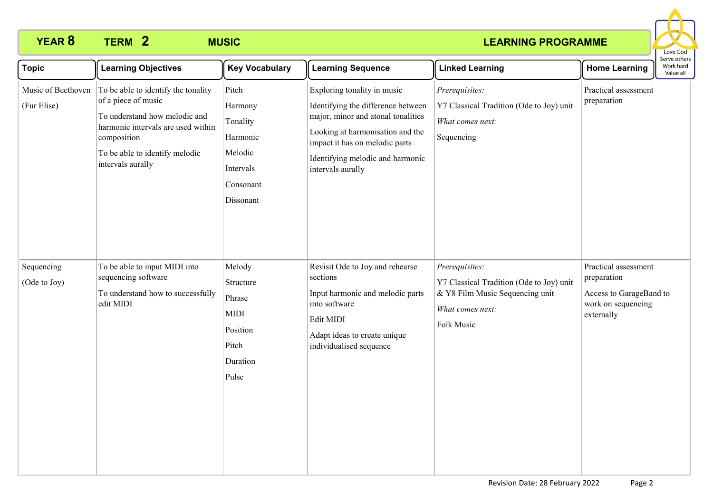## **YEAR 8 TERM MUSIC 2**

### **LEARNING PROGRAMME**



| <b>Topic</b>                      | <b>Learning Objectives</b>                                                                                                                                                                              | <b>Key Vocabulary</b>                                                                      | <b>Learning Sequence</b>                                                                                                                                                                                                               | <b>Linked Learning</b>                                                                                                          | <b>Home Learning</b>                                                                               | Serve others<br>Work hard<br>Value all |
|-----------------------------------|---------------------------------------------------------------------------------------------------------------------------------------------------------------------------------------------------------|--------------------------------------------------------------------------------------------|----------------------------------------------------------------------------------------------------------------------------------------------------------------------------------------------------------------------------------------|---------------------------------------------------------------------------------------------------------------------------------|----------------------------------------------------------------------------------------------------|----------------------------------------|
| Music of Beethoven<br>(Fur Elise) | To be able to identify the tonality<br>of a piece of music<br>To understand how melodic and<br>harmonic intervals are used within<br>composition<br>To be able to identify melodic<br>intervals aurally | Pitch<br>Harmony<br>Tonality<br>Harmonic<br>Melodic<br>Intervals<br>Consonant<br>Dissonant | Exploring tonality in music<br>Identifying the difference between<br>major, minor and atonal tonalities<br>Looking at harmonisation and the<br>impact it has on melodic parts<br>Identifying melodic and harmonic<br>intervals aurally | Prerequisites:<br>Y7 Classical Tradition (Ode to Joy) unit<br>What comes next:<br>Sequencing                                    | Practical assessment<br>preparation                                                                |                                        |
| Sequencing<br>(Ode to Joy)        | To be able to input MIDI into<br>sequencing software<br>To understand how to successfully<br>edit MIDI                                                                                                  | Melody<br>Structure<br>Phrase<br><b>MIDI</b><br>Position<br>Pitch<br>Duration<br>Pulse     | Revisit Ode to Joy and rehearse<br>sections<br>Input harmonic and melodic parts<br>into software<br>Edit MIDI<br>Adapt ideas to create unique<br>individualised sequence                                                               | Prerequisites:<br>Y7 Classical Tradition (Ode to Joy) unit<br>& Y8 Film Music Sequencing unit<br>What comes next:<br>Folk Music | Practical assessment<br>preparation<br>Access to GarageBand to<br>work on sequencing<br>externally |                                        |